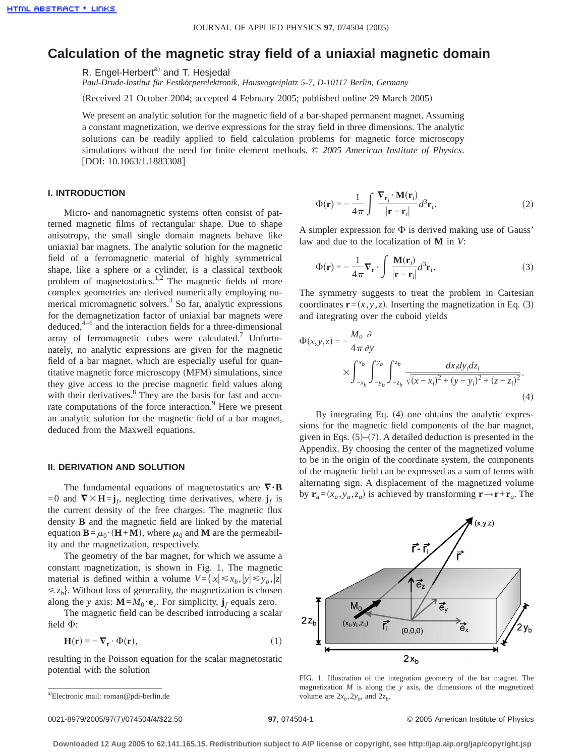# **Calculation of the magnetic stray field of a uniaxial magnetic domain**

R. Engel-Herbert<sup>a)</sup> and T. Hesjedal

*Paul-Drude-Institut für Festkörperelektronik, Hausvogteiplatz 5-7, D-10117 Berlin, Germany*

(Received 21 October 2004; accepted 4 February 2005; published online 29 March 2005)

We present an analytic solution for the magnetic field of a bar-shaped permanent magnet. Assuming a constant magnetization, we derive expressions for the stray field in three dimensions. The analytic solutions can be readily applied to field calculation problems for magnetic force microscopy simulations without the need for finite element methods. © *2005 American Institute of Physics*. [DOI: 10.1063/1.1883308]

### **I. INTRODUCTION**

Micro- and nanomagnetic systems often consist of patterned magnetic films of rectangular shape. Due to shape anisotropy, the small single domain magnets behave like uniaxial bar magnets. The analytic solution for the magnetic field of a ferromagnetic material of highly symmetrical shape, like a sphere or a cylinder, is a classical textbook problem of magnetostatics.<sup>1,2</sup> The magnetic fields of more complex geometries are derived numerically employing numerical micromagnetic solvers. $3$  So far, analytic expressions for the demagnetization factor of uniaxial bar magnets were deduced, $4-6$  and the interaction fields for a three-dimensional array of ferromagnetic cubes were calculated. $7$  Unfortunately, no analytic expressions are given for the magnetic field of a bar magnet, which are especially useful for quantitative magnetic force microscopy (MFM) simulations, since they give access to the precise magnetic field values along with their derivatives.<sup>8</sup> They are the basis for fast and accurate computations of the force interaction.<sup>9</sup> Here we present an analytic solution for the magnetic field of a bar magnet, deduced from the Maxwell equations.

## **II. DERIVATION AND SOLUTION**

The fundamental equations of magnetostatics are  $\nabla \cdot \mathbf{B}$ =0 and  $\nabla \times \mathbf{H} = \mathbf{j}_f$ , neglecting time derivatives, where  $\mathbf{j}_f$  is the current density of the free charges. The magnetic flux density **B** and the magnetic field are linked by the material equation  $\mathbf{B} = \mu_0 \cdot (\mathbf{H} + \mathbf{M})$ , where  $\mu_0$  and **M** are the permeability and the magnetization, respectively.

The geometry of the bar magnet, for which we assume a constant magnetization, is shown in Fig. 1. The magnetic material is defined within a volume  $V = \{ |x| \le x_b, |y| \le y_b, |z| \}$  $\leq z_b$ . Without loss of generality, the magnetization is chosen along the *y* axis:  $\mathbf{M} = M_0 \cdot \mathbf{e}_y$ . For simplicity,  $\mathbf{j}_f$  equals zero.

The magnetic field can be described introducing a scalar field  $\Phi$ :

$$
\mathbf{H}(\mathbf{r}) = -\nabla_{\mathbf{r}} \cdot \Phi(\mathbf{r}),\tag{1}
$$

resulting in the Poisson equation for the scalar magnetostatic potential with the solution

$$
\Phi(\mathbf{r}) = -\frac{1}{4\pi} \int \frac{\nabla_{\mathbf{r}_i} \cdot \mathbf{M}(\mathbf{r}_i)}{|\mathbf{r} - \mathbf{r}_i|} d^3 \mathbf{r}_i.
$$
\n(2)

A simpler expression for  $\Phi$  is derived making use of Gauss' law and due to the localization of **M** in *V*:

$$
\Phi(\mathbf{r}) = -\frac{1}{4\pi} \nabla_{\mathbf{r}} \cdot \int \frac{\mathbf{M}(\mathbf{r}_i)}{|\mathbf{r} - \mathbf{r}_i|} d^3 \mathbf{r}_i.
$$
\n(3)

The symmetry suggests to treat the problem in Cartesian coordinates  $\mathbf{r}=(x, y, z)$ . Inserting the magnetization in Eq. (3) and integrating over the cuboid yields

$$
\Phi(x, y, z) = -\frac{M_0}{4\pi} \frac{\partial}{\partial y} \times \int_{-x_b}^{x_b} \int_{-y_b}^{y_b} \int_{-z_b}^{z_b} \frac{dx_i dy_i dz_i}{\sqrt{(x - x_i)^2 + (y - y_i)^2 + (z - z_i)^2}}.
$$
\n(4)

By integrating Eq.  $(4)$  one obtains the analytic expressions for the magnetic field components of the bar magnet, given in Eqs.  $(5)$ – $(7)$ . A detailed deduction is presented in the Appendix. By choosing the center of the magnetized volume to be in the origin of the coordinate system, the components of the magnetic field can be expressed as a sum of terms with alternating sign. A displacement of the magnetized volume by  $\mathbf{r}_a = (x_a, y_a, z_a)$  is achieved by transforming  $\mathbf{r} \rightarrow \mathbf{r} + \mathbf{r}_a$ . The



FIG. 1. Illustration of the integration geometry of the bar magnet. The magnetization *M* is along the *y* axis, the dimensions of the magnetized volume are  $2x_b$ ,  $2y_b$ , and  $2z_b$ .

a)Electronic mail: roman@pdi-berlin.de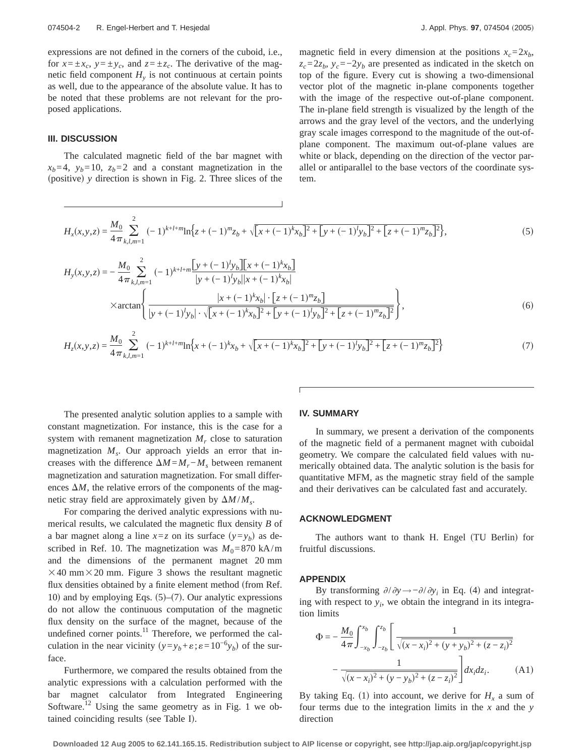expressions are not defined in the corners of the cuboid, i.e., for  $x = \pm x_c$ ,  $y = \pm y_c$ , and  $z = \pm z_c$ . The derivative of the magnetic field component  $H<sub>v</sub>$  is not continuous at certain points as well, due to the appearance of the absolute value. It has to be noted that these problems are not relevant for the proposed applications.

### **III. DISCUSSION**

The calculated magnetic field of the bar magnet with  $x_b = 4$ ,  $y_b = 10$ ,  $z_b = 2$  and a constant magnetization in the (positive) *y* direction is shown in Fig. 2. Three slices of the magnetic field in every dimension at the positions  $x_c = 2x_b$ ,  $z_c=2z_b$ ,  $y_c=-2y_b$  are presented as indicated in the sketch on top of the figure. Every cut is showing a two-dimensional vector plot of the magnetic in-plane components together with the image of the respective out-of-plane component. The in-plane field strength is visualized by the length of the arrows and the gray level of the vectors, and the underlying gray scale images correspond to the magnitude of the out-ofplane component. The maximum out-of-plane values are white or black, depending on the direction of the vector parallel or antiparallel to the base vectors of the coordinate system.

$$
H_x(x, y, z) = \frac{M_0}{4\pi} \sum_{k,l,m=1}^{2} (-1)^{k+l+m} \ln\left\{z + (-1)^m z_b + \sqrt{[x + (-1)^k x_b]^2 + [y + (-1)^l y_b]^2 + [z + (-1)^m z_b]^2}\right\},\tag{5}
$$

$$
H_{y}(x,y,z) = -\frac{M_{0}}{4\pi} \sum_{k,l,m=1}^{2} (-1)^{k+l+m} \frac{[y+(-1)^{l}y_{b}][x+(-1)^{k}x_{b}]}{|y+(-1)^{l}y_{b}||x+(-1)^{k}x_{b}|}
$$
  
×arctan
$$
\left\{\frac{|x+(-1)^{k}x_{b}|\cdot[z+(-1)^{m}z_{b}]}{|y+(-1)^{l}y_{b}|\cdot\sqrt{[x+(-1)^{k}x_{b}]^{2}+[y+(-1)^{l}y_{b}]^{2}+[z+(-1)^{m}z_{b}]^{2}}\right\},
$$
(6)

$$
H_z(x, y, z) = \frac{M_0}{4\pi} \sum_{k,l,m=1}^{2} (-1)^{k+l+m} \ln\left\{x + (-1)^k x_b + \sqrt{[x + (-1)^k x_b]^2 + [y + (-1)^l y_b]^2 + [z + (-1)^m z_b]^2}\right\}
$$
(7)

The presented analytic solution applies to a sample with constant magnetization. For instance, this is the case for a system with remanent magnetization  $M_r$  close to saturation magnetization  $M<sub>s</sub>$ . Our approach yields an error that increases with the difference  $\Delta M = M_r - M_s$  between remanent magnetization and saturation magnetization. For small differences  $\Delta M$ , the relative errors of the components of the magnetic stray field are approximately given by  $\Delta M / M_s$ .

For comparing the derived analytic expressions with numerical results, we calculated the magnetic flux density *B* of a bar magnet along a line  $x=z$  on its surface  $(y=y_h)$  as described in Ref. 10. The magnetization was  $M_0$ =870 kA/m and the dimensions of the permanent magnet 20 mm  $\times$  40 mm $\times$  20 mm. Figure 3 shows the resultant magnetic flux densities obtained by a finite element method (from Ref. 10) and by employing Eqs.  $(5)$ – $(7)$ . Our analytic expressions do not allow the continuous computation of the magnetic flux density on the surface of the magnet, because of the undefined corner points. $11$  Therefore, we performed the calculation in the near vicinity  $(y=y_b+\varepsilon;\varepsilon=10^{-6}y_b)$  of the surface.

Furthermore, we compared the results obtained from the analytic expressions with a calculation performed with the bar magnet calculator from Integrated Engineering Software.<sup>12</sup> Using the same geometry as in Fig. 1 we obtained coinciding results (see Table I).

### **IV. SUMMARY**

In summary, we present a derivation of the components of the magnetic field of a permanent magnet with cuboidal geometry. We compare the calculated field values with numerically obtained data. The analytic solution is the basis for quantitative MFM, as the magnetic stray field of the sample and their derivatives can be calculated fast and accurately.

#### **ACKNOWLEDGMENT**

The authors want to thank H. Engel (TU Berlin) for fruitful discussions.

#### **APPENDIX**

By transforming  $\partial/\partial y \rightarrow -\partial/\partial y_i$  in Eq. (4) and integrating with respect to  $y_i$ , we obtain the integrand in its integration limits

$$
\Phi = -\frac{M_0}{4\pi} \int_{-x_b}^{x_b} \int_{-z_b}^{z_b} \left[ \frac{1}{\sqrt{(x - x_i)^2 + (y + y_b)^2 + (z - z_i)^2}} - \frac{1}{\sqrt{(x - x_i)^2 + (y - y_b)^2 + (z - z_i)^2}} \right] dx_i dz_i.
$$
 (A1)

By taking Eq. (1) into account, we derive for  $H_x$  a sum of four terms due to the integration limits in the *x* and the *y* direction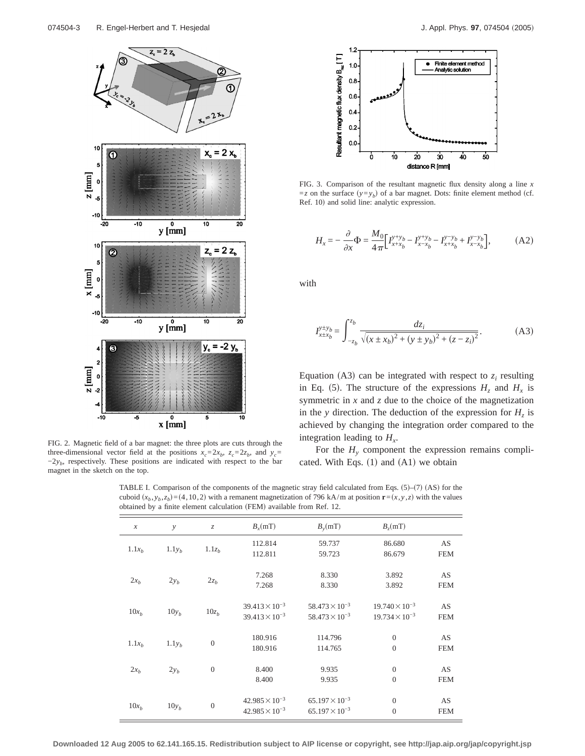

FIG. 2. Magnetic field of a bar magnet: the three plots are cuts through the three-dimensional vector field at the positions  $x_c = 2x_b$ ,  $z_c = 2z_b$ , and  $y_c =$  $-2y<sub>b</sub>$ , respectively. These positions are indicated with respect to the bar magnet in the sketch on the top.



FIG. 3. Comparison of the resultant magnetic flux density along a line *x*  $=z$  on the surface  $(y=y_b)$  of a bar magnet. Dots: finite element method (cf. Ref. 10) and solid line: analytic expression.

$$
H_{x} = -\frac{\partial}{\partial x} \Phi = \frac{M_{0}}{4\pi} \Big[ I_{x+x_{b}}^{y+y_{b}} - I_{x-x_{b}}^{y+y_{b}} - I_{x+x_{b}}^{y-y_{b}} + I_{x-x_{b}}^{y-y_{b}} \Big], \tag{A2}
$$

with

$$
I_{x \pm x_b}^{y \pm y_b} = \int_{-z_b}^{z_b} \frac{dz_i}{\sqrt{(x \pm x_b)^2 + (y \pm y_b)^2 + (z - z_i)^2}}.
$$
 (A3)

Equation (A3) can be integrated with respect to  $z_i$  resulting in Eq. (5). The structure of the expressions  $H_z$  and  $H_x$  is symmetric in *x* and *z* due to the choice of the magnetization in the *y* direction. The deduction of the expression for  $H<sub>z</sub>$  is achieved by changing the integration order compared to the integration leading to  $H<sub>x</sub>$ .

For the  $H<sub>y</sub>$  component the expression remains complicated. With Eqs.  $(1)$  and  $(A1)$  we obtain

TABLE I. Comparison of the components of the magnetic stray field calculated from Eqs.  $(5)-(7)(AS)$  for the cuboid  $(x_b, y_b, z_b) = (4, 10, 2)$  with a remanent magnetization of 796 kA/m at position  $\mathbf{r} = (x, y, z)$  with the values obtained by a finite element calculation (FEM) available from Ref. 12.

| $\mathcal{X}$     | $\mathcal{Y}$     | $Z_{\cdot}$       | $B_r(mT)$                                          | $B_{\nu}(mT)$                                      | B <sub>z</sub> (mT)                                |                  |
|-------------------|-------------------|-------------------|----------------------------------------------------|----------------------------------------------------|----------------------------------------------------|------------------|
| $1.1x_h$          | 1.1y <sub>b</sub> | 1.1z <sub>b</sub> | 112.814<br>112.811                                 | 59.737<br>59.723                                   | 86.680<br>86.679                                   | AS<br><b>FEM</b> |
| $2x_b$            | $2y_b$            | $2z_b$            | 7.268<br>7.268                                     | 8.330<br>8.330                                     | 3.892<br>3.892                                     | AS<br><b>FEM</b> |
| $10x_b$           | $10y_h$           | $10z_b$           | $39.413 \times 10^{-3}$<br>$39.413 \times 10^{-3}$ | $58.473 \times 10^{-3}$<br>$58.473 \times 10^{-3}$ | $19.740 \times 10^{-3}$<br>$19.734 \times 10^{-3}$ | AS<br><b>FEM</b> |
| 1.1x <sub>b</sub> | $1.1y_b$          | $\mathbf{0}$      | 180.916<br>180.916                                 | 114.796<br>114.765                                 | $\overline{0}$<br>$\overline{0}$                   | AS<br><b>FEM</b> |
| $2x_b$            | $2y_b$            | $\mathbf{0}$      | 8.400<br>8.400                                     | 9.935<br>9.935                                     | $\mathbf{0}$<br>$\overline{0}$                     | AS<br><b>FEM</b> |
| $10x_b$           | $10y_h$           | $\boldsymbol{0}$  | $42.985 \times 10^{-3}$<br>$42.985 \times 10^{-3}$ | $65.197 \times 10^{-3}$<br>$65.197 \times 10^{-3}$ | $\overline{0}$<br>$\overline{0}$                   | AS<br><b>FEM</b> |